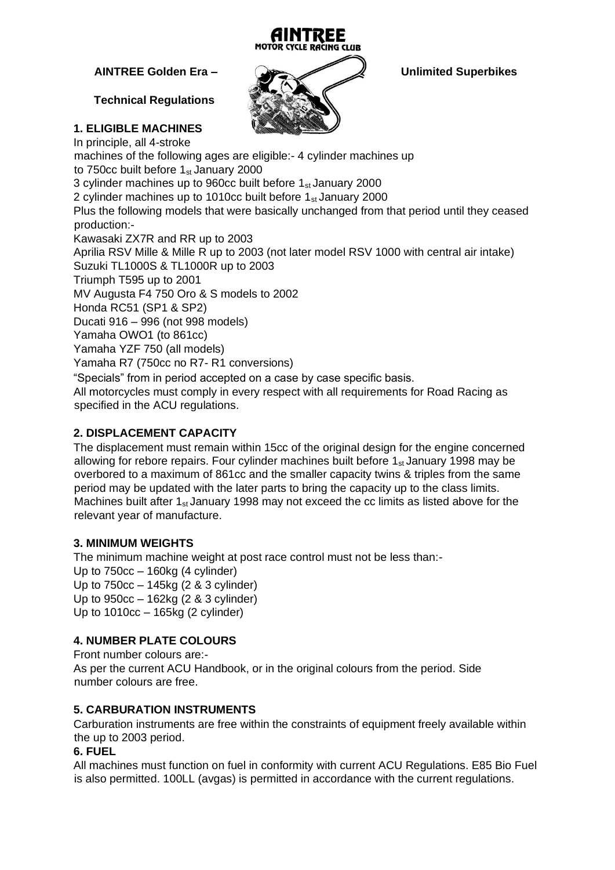

# **Technical Regulations**

# **1. ELIGIBLE MACHINES**

**AINTREE Golden Era – Unlimited Superbikes** 

In principle, all 4-stroke machines of the following ages are eligible:- 4 cylinder machines up to 750cc built before  $1_{st}$  January 2000 3 cylinder machines up to 960cc built before  $1_{st}$  January 2000 2 cylinder machines up to 1010cc built before  $1_{st}$  January 2000 Plus the following models that were basically unchanged from that period until they ceased production:- Kawasaki ZX7R and RR up to 2003 Aprilia RSV Mille & Mille R up to 2003 (not later model RSV 1000 with central air intake) Suzuki TL1000S & TL1000R up to 2003 Triumph T595 up to 2001 MV Augusta F4 750 Oro & S models to 2002 Honda RC51 (SP1 & SP2) Ducati 916 – 996 (not 998 models) Yamaha OWO1 (to 861cc) Yamaha YZF 750 (all models) Yamaha R7 (750cc no R7- R1 conversions) "Specials" from in period accepted on a case by case specific basis.

All motorcycles must comply in every respect with all requirements for Road Racing as specified in the ACU regulations.

# **2. DISPLACEMENT CAPACITY**

The displacement must remain within 15cc of the original design for the engine concerned allowing for rebore repairs. Four cylinder machines built before  $1_{st}$  January 1998 may be overbored to a maximum of 861cc and the smaller capacity twins & triples from the same period may be updated with the later parts to bring the capacity up to the class limits. Machines built after  $1_{st}$  January 1998 may not exceed the cc limits as listed above for the relevant year of manufacture.

## **3. MINIMUM WEIGHTS**

The minimum machine weight at post race control must not be less than:- Up to 750cc – 160kg (4 cylinder) Up to 750cc – 145kg (2 & 3 cylinder) Up to 950cc – 162kg (2 & 3 cylinder) Up to 1010cc – 165kg (2 cylinder)

## **4. NUMBER PLATE COLOURS**

Front number colours are:- As per the current ACU Handbook, or in the original colours from the period. Side number colours are free.

## **5. CARBURATION INSTRUMENTS**

Carburation instruments are free within the constraints of equipment freely available within the up to 2003 period.

#### **6. FUEL**

All machines must function on fuel in conformity with current ACU Regulations. E85 Bio Fuel is also permitted. 100LL (avgas) is permitted in accordance with the current regulations.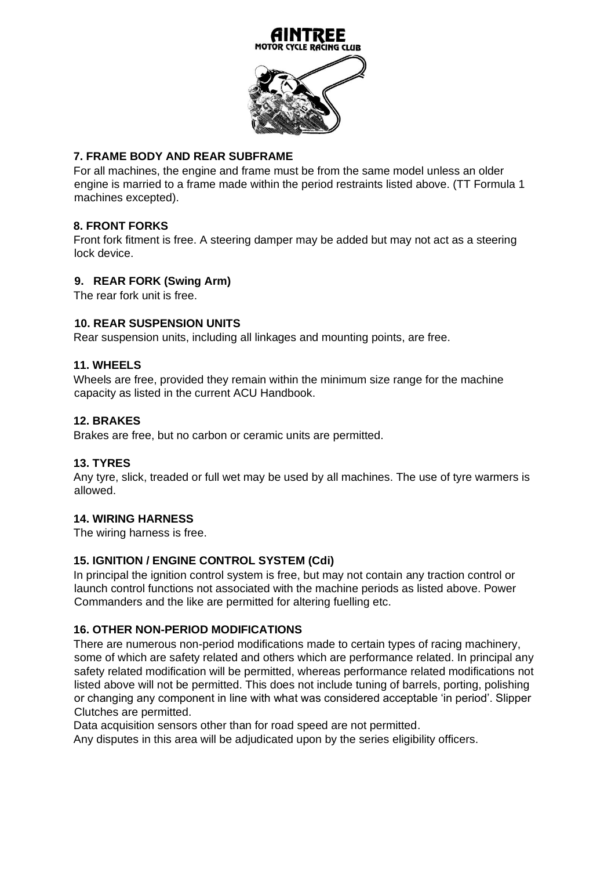

## **7. FRAME BODY AND REAR SUBFRAME**

For all machines, the engine and frame must be from the same model unless an older engine is married to a frame made within the period restraints listed above. (TT Formula 1 machines excepted).

### **8. FRONT FORKS**

Front fork fitment is free. A steering damper may be added but may not act as a steering lock device.

#### **9. REAR FORK (Swing Arm)**

The rear fork unit is free.

#### **10. REAR SUSPENSION UNITS**

Rear suspension units, including all linkages and mounting points, are free.

#### **11. WHEELS**

Wheels are free, provided they remain within the minimum size range for the machine capacity as listed in the current ACU Handbook.

#### **12. BRAKES**

Brakes are free, but no carbon or ceramic units are permitted.

#### **13. TYRES**

Any tyre, slick, treaded or full wet may be used by all machines. The use of tyre warmers is allowed.

#### **14. WIRING HARNESS**

The wiring harness is free.

#### **15. IGNITION / ENGINE CONTROL SYSTEM (Cdi)**

In principal the ignition control system is free, but may not contain any traction control or launch control functions not associated with the machine periods as listed above. Power Commanders and the like are permitted for altering fuelling etc.

#### **16. OTHER NON-PERIOD MODIFICATIONS**

There are numerous non-period modifications made to certain types of racing machinery, some of which are safety related and others which are performance related. In principal any safety related modification will be permitted, whereas performance related modifications not listed above will not be permitted. This does not include tuning of barrels, porting, polishing or changing any component in line with what was considered acceptable 'in period'. Slipper Clutches are permitted.

Data acquisition sensors other than for road speed are not permitted.

Any disputes in this area will be adjudicated upon by the series eligibility officers.